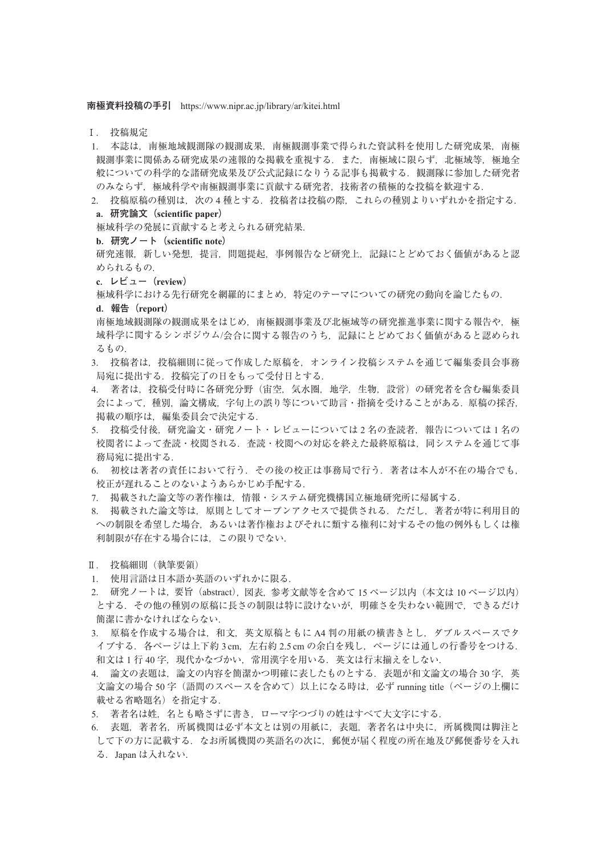**南極資料投稿の手引** https://www.nipr.ac.jp/library/ar/kitei.html

- Ⅰ. 投稿規定
- 1. 本誌は,南極地域観測隊の観測成果,南極観測事業で得られた資試料を使用した研究成果,南極 観測事業に関係ある研究成果の速報的な掲載を重視する.また、南極域に限らず、北極域等,極地全 般についての科学的な諸研究成果及び公式記録になりうる記事も掲載する. 観測隊に参加した研究者 のみならず、極域科学や南極観測事業に貢献する研究者,技術者の積極的な投稿を歓迎する.
- 2. 投稿原稿の種別は、次の4種とする. 投稿者は投稿の際、これらの種別よりいずれかを指定する. **a.研究論文(scientific paper)**
- 極域科学の発展に貢献すると考えられる研究結果.
- **b.研究ノート(scientific note)**
- 研究速報,新しい発想,提言,問題提起,事例報告など研究上,記録にとどめておく価値があると認 められるもの.
- **c.レビュー(review)**
- 極域科学における先行研究を網羅的にまとめ,特定のテーマについての研究の動向を論じたもの.
- **d.報告(report)**
- 南極地域観測隊の観測成をはじめ、南極観測事業及び北極域等の研究推進事業に関する報告や、極 域科学に関するシンポジウム/会合に関する報告のうち、記録にとどめておく価値があると認められ るもの.
- 3. 投稿者は,投稿細則に従って作成した原稿を,オンライン投稿システムを通じて編集委員会事務 局宛に提出する.投稿完了の日をもって受付日とする.
- 4. 著者は,投稿受付時に各研究分野(宙空,気水圏,地学,生物,設営)の研究者を含む編集委員 会によって,種別,論文構成,字句上の誤り等について助言・指摘を受けることがある.原稿の採否, 掲載の順序は,編集委員会で決定する.
- 5. 投稿受付後,研究論文・研究ノート・レビューについては2名の査読者,報告については1名の 校閲者によって査読・校閲される.査読・校閲への対応を終えた最終原稿は,同システムを通じて事 務局宛に提出する.
- 6. 初校は著者の責任において行う. その後の校正は事務局で行う. 著者は本人が不在の場合でも, 校正が遅れることのないようあらかじめ手配する.
- 7. 掲載された論文等の著作権は,情報・システム研究機構国立極地研究所に帰属する.
- 8. 掲載された論文等は,原則としてオープンアクセスで提供される.ただし,著者が特に利用目的 への制限を希望した場合,あるいは著作権およびそれに類する権利に対するその他の例外もしくは権 利制限が存在する場合には,この限りでない.
- Ⅱ. 投稿細則(執筆要領)
- 1. 使用言語は日本語か英語のいずれかに限る.
- 2. 研究ノートは,要旨(abstract),図表,参考文献等を含めて 15 ページ以内(本文は 10 ページ以内) とする.その他の種別の原稿に長さの制限は特に設けないが,明確さを失わない範囲で,できるだけ 簡潔に書かなければならない.
- 3. 原稿を作成する場合は,和文,英文原稿ともに A4 判の用紙の横書きとし, ダブルスペースでタ イプする. 各ページは上下約 3 cm, 左右約 2.5 cm の余白を残し, ページには通しの行番号をつける. 和文は1行40字,現代かなづかい,常用漢字を用いる.英文は行末揃えをしない.
- 4. 論文の表題は、論文の内容を簡潔かつ明確に表したものとする. 表題が和文論文の場合 30 字,英 文論文の場合 50字 (語間のスペースを含めて)以上になる時は、必ず running title (ページの上欄に 載せる省略題名)を指定する.
- 5. 著者名は姓, 名とも略さずに書き, ローマ字つづりの姓はすべて大文字にする.
- 6. 表題,著者名,所属機関は必ず本文とは別の用紙に,表題,著者名は中央に,所属機関は脚注と して下の方に記載する.なお所属機関の英語名の次に,郵便が届く程度の所在地及び郵便番号を入れ る.Japan は入れない.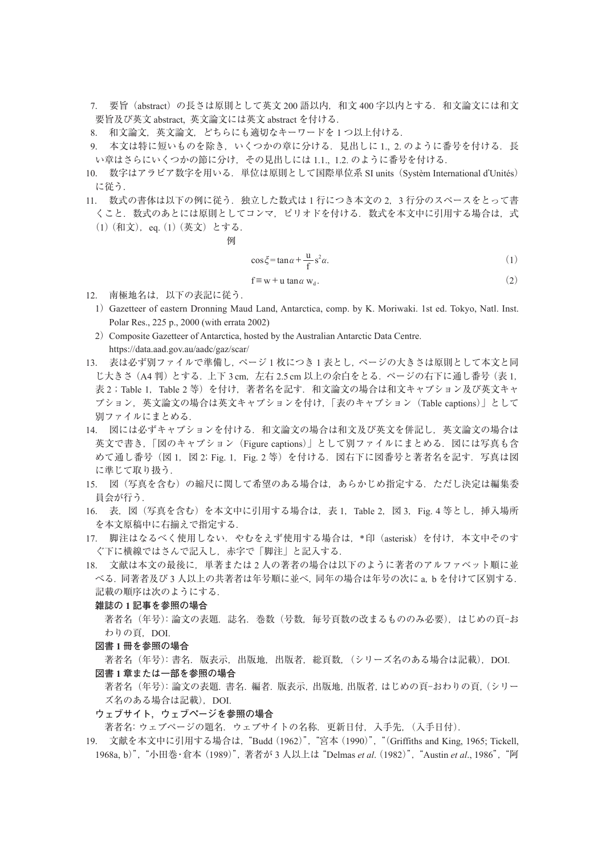- 7. 要旨(abstract)の長さは原則として英文 200 語以内,和文 400 字以内とする.和文論文には和文 要旨及び英文 abstract, 英文論文には英文 abstract を付ける.
- 8. 和文論文,英文論文,どちらにも適切なキーワードを 1 つ以上付ける.
- 9. 本文は特に短いものを除き、いくつかの章に分ける. 見出しに 1., 2. のように番号を付ける. 長 い章はさらにいくつかの節に分け,その見出しには 1.1., 1.2. のように番号を付ける.
- 10. 数字はアラビア数字を用いる.単位は原則として国際単位系 SI units(Systèm International d'Unités) に従う.
- 11. 数式の書体は以下の例に従う. 独立した数式は1行につき本文の2,3 行分のスペースをとって書 くこと. 数式のあとには原則としてコンマ.ピリオドを付ける. 数式を本文中に引用する場合は,式 (1)(和文),eq.(1)(英文)とする.

$$
\text{tr}\left[\mathcal{F}_\text{in}\right]
$$

$$
\cos \xi = \tan \alpha + \frac{u}{f} s^2 \alpha. \tag{1}
$$

$$
f \equiv w + u \tan \alpha w_d. \tag{2}
$$

- 12. 南極地名は,以下の表記に従う.
	- 1) Gazetteer of eastern Dronning Maud Land, Antarctica, comp. by K. Moriwaki. 1st ed. Tokyo, Natl. Inst. Polar Res., 225 p., 2000 (with errata 2002)
	- 2) Composite Gazetteer of Antarctica, hosted by the Australian Antarctic Data Centre. https://data.aad.gov.au/aadc/gaz/scar/
- 13. 表は必ず別ファイルで準備し,ページ1枚につき1表とし,ページの大きさは原則として本文と同 じ大きさ(A4判)とする. 上下 3 cm, 左右 2.5 cm 以上の余白をとる. ページの右下に通し番号 (表 1, 表 2; Table 1, Table 2 等)を付け,著者名を記す. 和文論文の場合は和文キャプション及び英文キャ プション,英文論文の場合は英文キャプションを付け,「表のキャプション(Table captions)」として 別ファイルにまとめる.
- 14. 図には必ずキャプションを付ける.和文論文の場合は和文及び英文を併記し,英文論文の場合は 英文で書き,「図のキャプション(Figure captions)」として別ファイルにまとめる. 図には写真も含 めて通し番号 (図 1, 図 2; Fig. 1, Fig. 2 等) を付ける. 図右下に図番号と著者名を記す. 写真は図 に準じて取り扱う.
- 15. 図(写真を含む)の縮尺に関して希望のある場合は,あらかじめ指定する.ただし決定は編集委 員会が行う.
- 16. 表,図(写真を含む)を本文中に引用する場合は,表 1,Table 2,図 3,Fig. 4 等とし,挿入場所 を本文原稿中に右揃えで指定する.
- 17. 脚注はなるべく使用しない. やむをえず使用する場合は、\*印 (asterisk) を付け、本文中そのす ぐ下に横線ではさんで記入し,赤字で「脚注」と記入する.
- 18. 文献は本文の最後に,単著または 2 人の著者の場合は以下のように著者のアルファベット順に並 べる.同著者及び 3 人以上の共著者は年号順に並べ,同年の場合は年号の次に a,b を付けて区別する. 記載の順序は次のようにする.

## **雑誌の 1 記事を参照の場合**

著者名(年号):論文の表題. 誌名. 巻数(号数, 毎号頁数の改まるもののみ必要),はじめの頁-お わりの頁, DOI.

#### **図書 1 冊を参照の場合**

- 著者名 (年号): 書名. 版表示, 出版地, 出版者, 総頁数, (シリーズ名のある場合は記載), DOI. **図書 1 章または一部を参照の場合**
- 著者名 (年号): 論文の表題. 書名. 編者. 版表示, 出版地, 出版者, はじめの頁-おわりの頁, (シリー ズ名のある場合は記載), DOI.

**ウェブサイト,ウェブページを参照の場合**

著者名:ウェブページの題名.ウェブサイトの名称.更新日付,入手先,(入手日付).

19. 文献を本文中に引用する場合は,"Budd(1962)","宮本(1990)","(Griffiths and King, 1965; Tickell, 1968a, b)", "小田巻·倉本 (1989)", 著者が 3 人以上は "Delmas *et al.* (1982)", "Austin *et al.*, 1986", "阿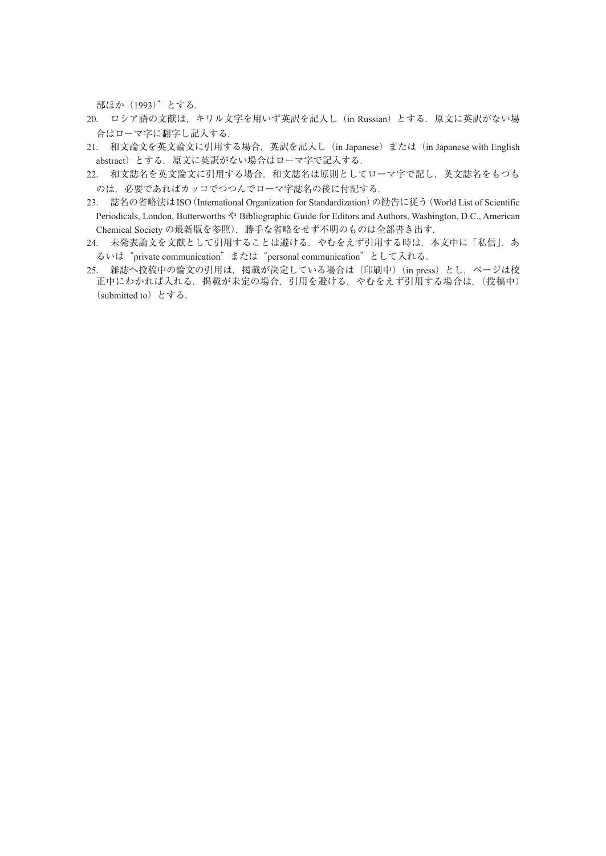部ほか(1993)"とする.

- 20. ロシア語の文献は,キリル文字を用いず英訳を記入し(in Russian)とする.原文に英訳がない場 合はローマ字に翻字し記入する.
- 21. 和文論文を英文論文に引用する場合,英訳を記入し(in Japanese)または(in Japanese with English abstract)とする. 原文に英訳がない場合はローマ字で記入する.
- 22. 和文誌名を英文論文に引用する場合,和文誌名は原則としてローマ字で記し,英文誌名をもつも のは、必要であればカッコでつつんでローマ字誌名の後に付記する.
- 23. 誌名の省略法はISO(International Organization for Standardization)の勧告に従う(World List of Scientific Periodicals, London, Butterworths や Bibliographic Guide for Editors and Authors, Washington, D.C., American Chemical Society の最新版を参照). 勝手な省略をせず不明のものは全部書き出す.
- 24. 未発表論文を文献として引用することは避ける.やむをえず引用する時は,本文中に「私信」,あ るいは"private communication"または"personal communication"として入れる.
- 正中にわかれば入れる.掲載が未定の場合,引用を避ける.やむをえず引用する場合は,(投稿中) (submitted to)とする. 25. 雑誌へ投稿中の論文の引用は, 掲載が決定している場合は (印刷中) (in press) とし, ページは校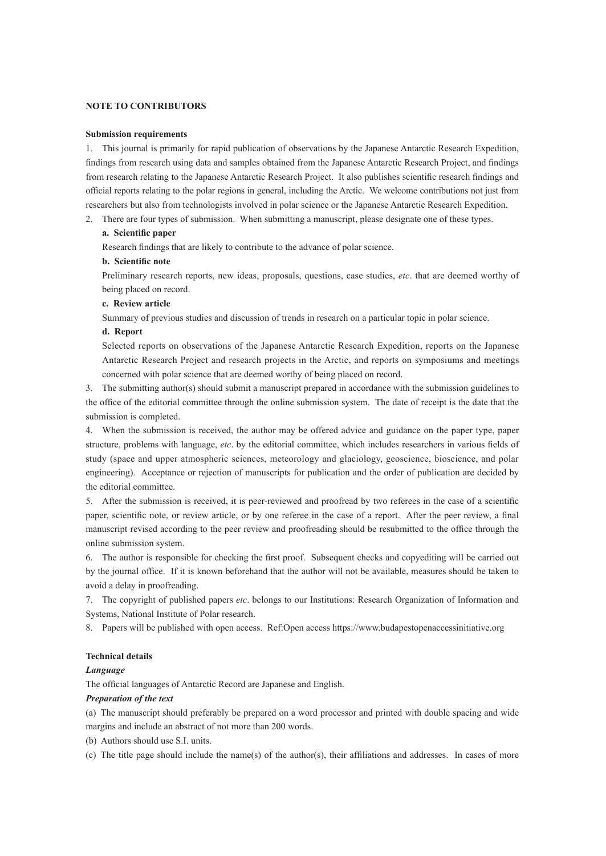#### **NOTE TO CONTRIBUTORS**

#### **Submission requirements**

1. This journal is primarily for rapid publication of observations by the Japanese Antarctic Research Expedition, findings from research using data and samples obtained from the Japanese Antarctic Research Project, and findings from research relating to the Japanese Antarctic Research Project. It also publishes scientific research findings and official reports relating to the polar regions in general, including the Arctic. We welcome contributions not just from researchers but also from technologists involved in polar science or the Japanese Antarctic Research Expedition.

2. There are four types of submission. When submitting a manuscript, please designate one of these types.

## **a. Scientific paper**

Research findings that are likely to contribute to the advance of polar science.

## **b. Scientific note**

Preliminary research reports, new ideas, proposals, questions, case studies, *etc*. that are deemed worthy of being placed on record.

#### **c. Review article**

Summary of previous studies and discussion of trends in research on a particular topic in polar science.

## **d. Report**

Selected reports on observations of the Japanese Antarctic Research Expedition, reports on the Japanese Antarctic Research Project and research projects in the Arctic, and reports on symposiums and meetings concerned with polar science that are deemed worthy of being placed on record.

3. The submitting author(s) should submit a manuscript prepared in accordance with the submission guidelines to the office of the editorial committee through the online submission system. The date of receipt is the date that the submission is completed.

4. When the submission is received, the author may be offered advice and guidance on the paper type, paper structure, problems with language, *etc*. by the editorial committee, which includes researchers in various fields of study (space and upper atmospheric sciences, meteorology and glaciology, geoscience, bioscience, and polar engineering). Acceptance or rejection of manuscripts for publication and the order of publication are decided by the editorial committee.

5. After the submission is received, it is peer-reviewed and proofread by two referees in the case of a scientific paper, scientific note, or review article, or by one referee in the case of a report. After the peer review, a final manuscript revised according to the peer review and proofreading should be resubmitted to the office through the online submission system.

6. The author is responsible for checking the first proof. Subsequent checks and copyediting will be carried out by the journal office. If it is known beforehand that the author will not be available, measures should be taken to avoid a delay in proofreading.

7. The copyright of published papers *etc*. belongs to our Institutions: Research Organization of Information and Systems, National Institute of Polar research.

8. Papers will be published with open access. Ref:Open access https://www.budapestopenaccessinitiative.org

### **Technical details**

## *Language*

The official languages of Antarctic Record are Japanese and English.

### *Preparation of the text*

(a) The manuscript should preferably be prepared on a word processor and printed with double spacing and wide margins and include an abstract of not more than 200 words.

(b) Authors should use S.I. units.

(c) The title page should include the name(s) of the author(s), their affiliations and addresses. In cases of more